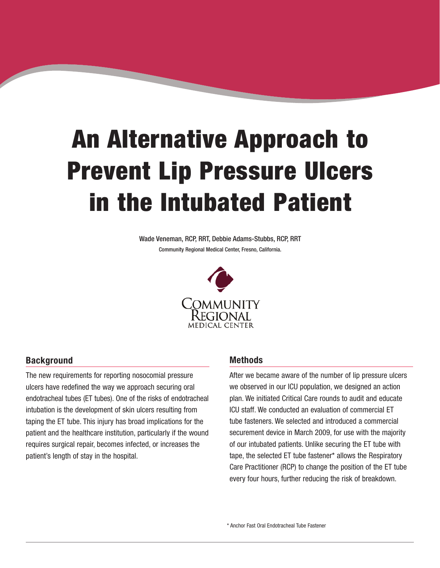# An Alternative Approach to Prevent Lip Pressure Ulcers in the Intubated Patient

Wade Veneman, RCP, RRT, Debbie Adams-Stubbs, RCP, RRT Community Regional Medical Center, Fresno, California.



# **Background**

The new requirements for reporting nosocomial pressure ulcers have redefined the way we approach securing oral endotracheal tubes (ET tubes). One of the risks of endotracheal intubation is the development of skin ulcers resulting from taping the ET tube. This injury has broad implications for the patient and the healthcare institution, particularly if the wound requires surgical repair, becomes infected, or increases the patient's length of stay in the hospital.

#### **Methods**

After we became aware of the number of lip pressure ulcers we observed in our ICU population, we designed an action plan. We initiated Critical Care rounds to audit and educate ICU staff. We conducted an evaluation of commercial ET tube fasteners. We selected and introduced a commercial securement device in March 2009, for use with the majority of our intubated patients. Unlike securing the ET tube with tape, the selected ET tube fastener\* allows the Respiratory Care Practitioner (RCP) to change the position of the ET tube every four hours, further reducing the risk of breakdown.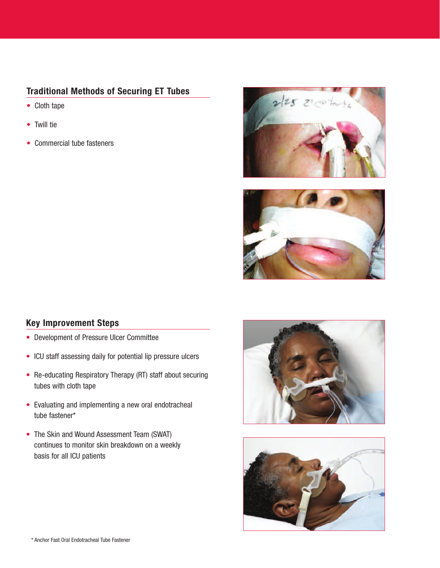# **Traditional Methods of Securing ET Tubes**

- Cloth tape
- Twill tie
- Commercial tube fasteners





# **Key Improvement Steps**

- Development of Pressure Ulcer Committee
- ICU staff assessing daily for potential lip pressure ulcers
- Re-educating Respiratory Therapy (RT) staff about securing tubes with cloth tape
- Evaluating and implementing a new oral endotracheal tube fastener\*
- The Skin and Wound Assessment Team (SWAT) continues to monitor skin breakdown on a weekly basis for all ICU patients



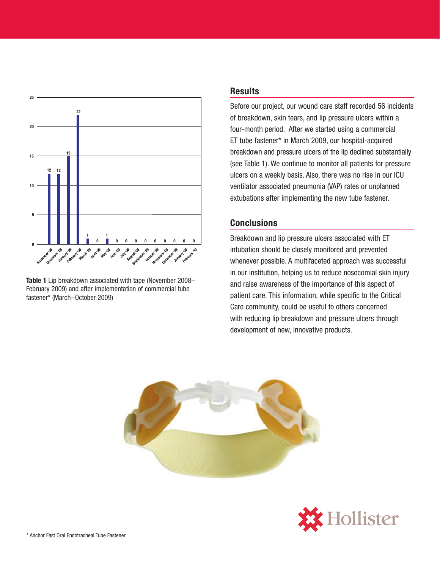

**Table 1** Lip breakdown associated with tape (November 2008– February 2009) and after implementation of commercial tube fastener\* (March–October 2009)

## **Results**

Before our project, our wound care staff recorded 56 incidents of breakdown, skin tears, and lip pressure ulcers within a four-month period. After we started using a commercial ET tube fastener\* in March 2009, our hospital-acquired breakdown and pressure ulcers of the lip declined substantially (see Table 1). We continue to monitor all patients for pressure ulcers on a weekly basis. Also, there was no rise in our ICU ventilator associated pneumonia (VAP) rates or unplanned extubations after implementing the new tube fastener.

# **Conclusions**

Breakdown and lip pressure ulcers associated with ET intubation should be closely monitored and prevented whenever possible. A multifaceted approach was successful in our institution, helping us to reduce nosocomial skin injury and raise awareness of the importance of this aspect of patient care. This information, while specific to the Critical Care community, could be useful to others concerned with reducing lip breakdown and pressure ulcers through development of new, innovative products.